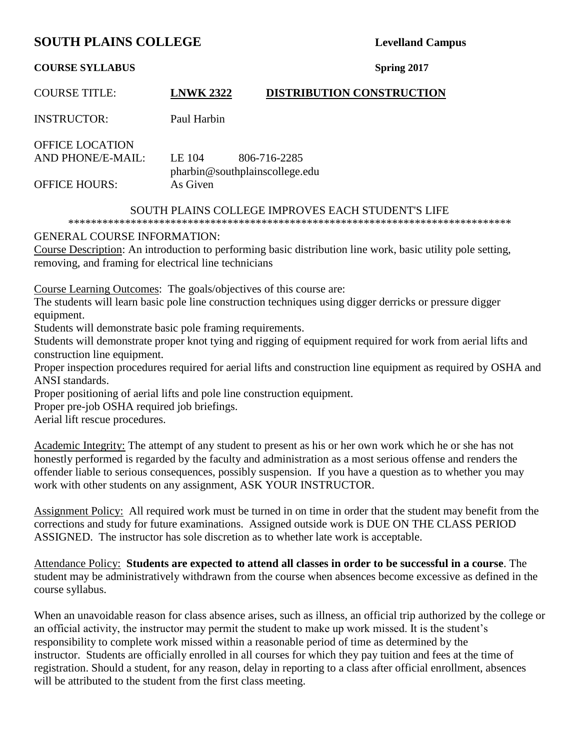# **SOUTH PLAINS COLLEGE** Levelland Campus

#### **COURSE SYLLABUS Spring 2017**

| <b>COURSE TITLE:</b>                               | <b>LNWK 2322</b> | <b>DISTRIBUTION CONSTRUCTION</b>               |
|----------------------------------------------------|------------------|------------------------------------------------|
| <b>INSTRUCTOR:</b>                                 | Paul Harbin      |                                                |
| <b>OFFICE LOCATION</b><br><b>AND PHONE/E-MAIL:</b> | LE 104           | 806-716-2285<br>pharbin@southplainscollege.edu |
| <b>OFFICE HOURS:</b>                               | As Given         |                                                |

### SOUTH PLAINS COLLEGE IMPROVES EACH STUDENT'S LIFE

\*\*\*\*\*\*\*\*\*\*\*\*\*\*\*\*\*\*\*\*\*\*\*\*\*\*\*\*\*\*\*\*\*\*\*\*\*\*\*\*\*\*\*\*\*\*\*\*\*\*\*\*\*\*\*\*\*\*\*\*\*\*\*\*\*\*\*\*\*\*\*\*\*\*\*\*\*\*

### GENERAL COURSE INFORMATION:

Course Description: An introduction to performing basic distribution line work, basic utility pole setting, removing, and framing for electrical line technicians

Course Learning Outcomes: The goals/objectives of this course are:

The students will learn basic pole line construction techniques using digger derricks or pressure digger equipment.

Students will demonstrate basic pole framing requirements.

Students will demonstrate proper knot tying and rigging of equipment required for work from aerial lifts and construction line equipment.

Proper inspection procedures required for aerial lifts and construction line equipment as required by OSHA and ANSI standards.

Proper positioning of aerial lifts and pole line construction equipment.

Proper pre-job OSHA required job briefings.

Aerial lift rescue procedures.

Academic Integrity: The attempt of any student to present as his or her own work which he or she has not honestly performed is regarded by the faculty and administration as a most serious offense and renders the offender liable to serious consequences, possibly suspension. If you have a question as to whether you may work with other students on any assignment, ASK YOUR INSTRUCTOR.

Assignment Policy: All required work must be turned in on time in order that the student may benefit from the corrections and study for future examinations. Assigned outside work is DUE ON THE CLASS PERIOD ASSIGNED. The instructor has sole discretion as to whether late work is acceptable.

Attendance Policy: **Students are expected to attend all classes in order to be successful in a course**. The student may be administratively withdrawn from the course when absences become excessive as defined in the course syllabus.

When an unavoidable reason for class absence arises, such as illness, an official trip authorized by the college or an official activity, the instructor may permit the student to make up work missed. It is the student's responsibility to complete work missed within a reasonable period of time as determined by the instructor. Students are officially enrolled in all courses for which they pay tuition and fees at the time of registration. Should a student, for any reason, delay in reporting to a class after official enrollment, absences will be attributed to the student from the first class meeting.